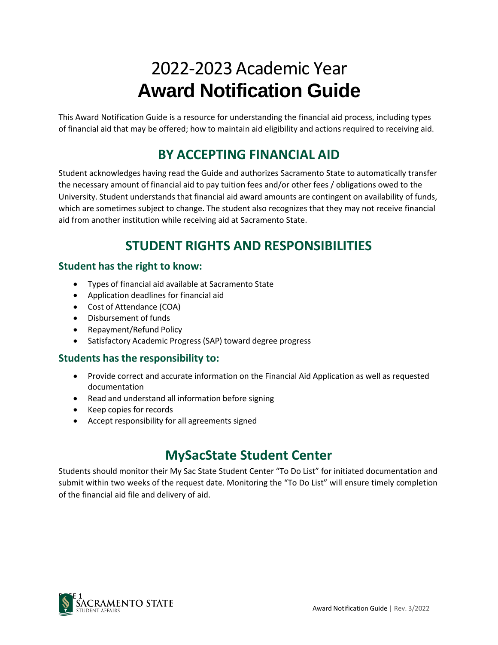# 2022-2023 Academic Year **Award Notification Guide**

This Award Notification Guide is a resource for understanding the financial aid process, including types of financial aid that may be offered; how to maintain aid eligibility and actions required to receiving aid.

# **BY ACCEPTING FINANCIAL AID**

Student acknowledges having read the Guide and authorizes Sacramento State to automatically transfer the necessary amount of financial aid to pay tuition fees and/or other fees / obligations owed to the University. Student understands that financial aid award amounts are contingent on availability of funds, which are sometimes subject to change. The student also recognizes that they may not receive financial aid from another institution while receiving aid at Sacramento State.

# **STUDENT RIGHTS AND RESPONSIBILITIES**

#### **Student has the right to know:**

- Types of financial aid available at Sacramento State
- Application deadlines for financial aid
- Cost of Attendance (COA)
- Disbursement of funds
- Repayment/Refund Policy
- Satisfactory Academic Progress (SAP) toward degree progress

#### **Students has the responsibility to:**

- Provide correct and accurate information on the Financial Aid Application as well as requested documentation
- Read and understand all information before signing
- Keep copies for records
- Accept responsibility for all agreements signed

### **MySacState Student Center**

Students should monitor their My Sac State Student Center "To Do List" for initiated documentation and submit within two weeks of the request date. Monitoring the "To Do List" will ensure timely completion of the financial aid file and delivery of aid.

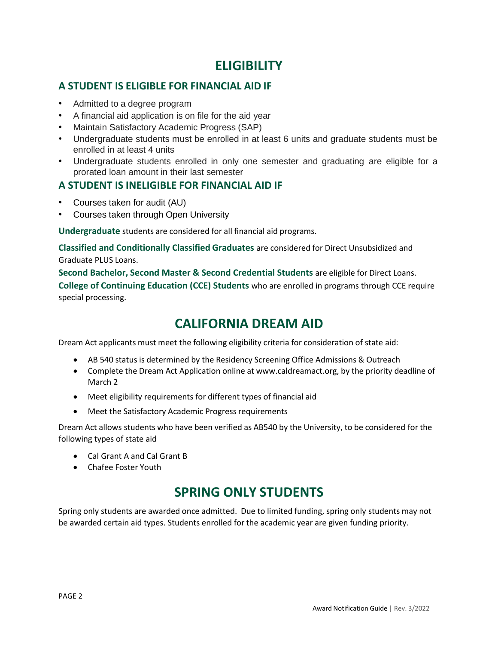### **ELIGIBILITY**

#### **A STUDENT IS ELIGIBLE FOR FINANCIAL AID IF**

- Admitted to a degree program
- A financial aid application is on file for the aid year
- Maintain Satisfactory Academic Progress (SAP)
- Undergraduate students must be enrolled in at least 6 units and graduate students must be enrolled in at least 4 units
- Undergraduate students enrolled in only one semester and graduating are eligible for a prorated loan amount in their last semester

#### **A STUDENT IS INELIGIBLE FOR FINANCIAL AID IF**

- Courses taken for audit (AU)
- Courses taken through Open University

**Undergraduate** students are considered for all financial aid programs.

**Classified and Conditionally Classified Graduates** are considered for Direct Unsubsidized and Graduate PLUS Loans.

**Second Bachelor, Second Master & Second Credential Students** are eligible for Direct Loans. **College of Continuing Education (CCE) Students** who are enrolled in programs through CCE require special processing.

### **CALIFORNIA DREAM AID**

Dream Act applicants must meet the following eligibility criteria for consideration of state aid:

- AB 540 status is determined by the Residency Screening Office Admissions & Outreach
- Complete the Dream Act Application online at [www.caldreamact.org,](http://www.caldreamact.org/) by the priority deadline of March 2
- Meet eligibility requirements for different types of financial aid
- Meet the Satisfactory Academic Progress requirements

Dream Act allows students who have been verified as AB540 by the University, to be considered for the following types of state aid

- Cal Grant A and Cal Grant B
- Chafee Foster Youth

### **SPRING ONLY STUDENTS**

Spring only students are awarded once admitted. Due to limited funding, spring only students may not be awarded certain aid types. Students enrolled for the academic year are given funding priority.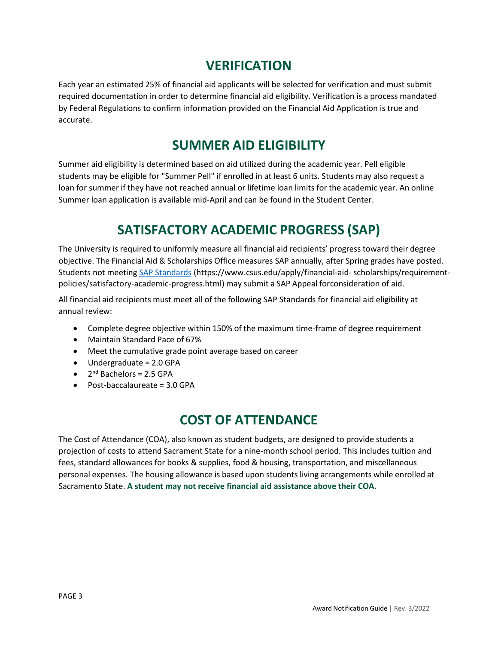### **VERIFICATION**

Each year an estimated 25% of financial aid applicants will be selected for verification and must submit required documentation in order to determine financial aid eligibility. Verification is a process mandated by Federal Regulations to confirm information provided on the Financial Aid Application is true and accurate.

### **SUMMER AID ELIGIBILITY**

Summer aid eligibility is determined based on aid utilized during the academic year. Pell eligible students may be eligible for "Summer Pell" if enrolled in at least 6 units. Students may also request a loan for summer if they have not reached annual or lifetime loan limits for the academic year. An online Summer loan application is available mid-April and can be found in the Student Center.

# **SATISFACTORY ACADEMIC PROGRESS (SAP)**

The University is required to uniformly measure all financial aid recipients' progress toward their degree objective. The Financial Aid & Scholarships Office measures SAP annually, after Spring grades have posted. Students not meeting [SAP Standards](https://www.csus.edu/apply/financial-aid-scholarships/requirement-policies/satisfactory-academic-progress.html) [\(https://www.csus.edu/apply/financial-aid-](https://www.csus.edu/apply/financial-aid-scholarships/requirement-policies/satisfactory-academic-progress.html) [scholarships/requirement](https://www.csus.edu/apply/financial-aid-scholarships/requirement-policies/satisfactory-academic-progress.html)[policies/satisfactory-academic-progress.html\)](https://www.csus.edu/apply/financial-aid-scholarships/requirement-policies/satisfactory-academic-progress.html) may submit a SAP Appeal forconsideration of aid.

All financial aid recipients must meet all of the following SAP Standards for financial aid eligibility at annual review:

- Complete degree objective within 150% of the maximum time-frame of degree requirement
- Maintain Standard Pace of 67%
- Meet the cumulative grade point average based on career
- Undergraduate = 2.0 GPA
- $\bullet$  2<sup>nd</sup> Bachelors = 2.5 GPA
- Post-baccalaureate = 3.0 GPA

# **COST OF ATTENDANCE**

The Cost of Attendance (COA), also known as student budgets, are designed to provide students a projection of costs to attend Sacrament State for a nine-month school period. This includes tuition and fees, standard allowances for books & supplies, food & housing, transportation, and miscellaneous personal expenses. The housing allowance is based upon students living arrangements while enrolled at Sacramento State. **A student may not receive financial aid assistance above their COA.**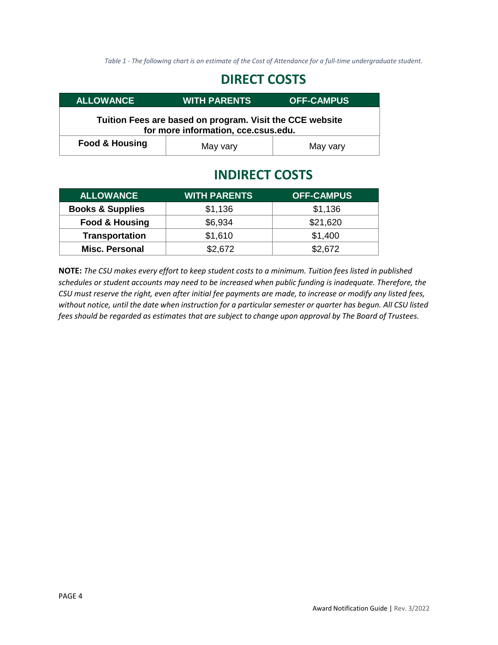Table 1 - The following chart is an estimate of the Cost of Attendance for a full-time undergraduate student.

### **DIRECT COSTS**

| <b>ALLOWANCE</b>                                                                                | <b>WITH PARENTS</b> | <b>OFF-CAMPUS</b> |  |
|-------------------------------------------------------------------------------------------------|---------------------|-------------------|--|
| Tuition Fees are based on program. Visit the CCE website<br>for more information, cce.csus.edu. |                     |                   |  |
| <b>Food &amp; Housing</b>                                                                       | May vary            | May vary          |  |

### **INDIRECT COSTS**

| <b>ALLOWANCE</b>            | <b>WITH PARENTS</b> | <b>OFF-CAMPUS</b> |
|-----------------------------|---------------------|-------------------|
| <b>Books &amp; Supplies</b> | \$1,136             | \$1,136           |
| <b>Food &amp; Housing</b>   | \$6,934             | \$21,620          |
| <b>Transportation</b>       | \$1,610             | \$1,400           |
| <b>Misc. Personal</b>       | \$2,672             | \$2,672           |

**NOTE:** *The CSU makes every effort to keep student costs to a minimum. Tuition fees listed in published schedules or student accounts may need to be increased when public funding is inadequate. Therefore, the CSU must reserve the right, even after initial fee payments are made, to increase or modify any listed fees,* without notice, until the date when instruction for a particular semester or quarter has begun. All CSU listed *fees should be regarded as estimates that are subject to change upon approval by The Board of Trustees.*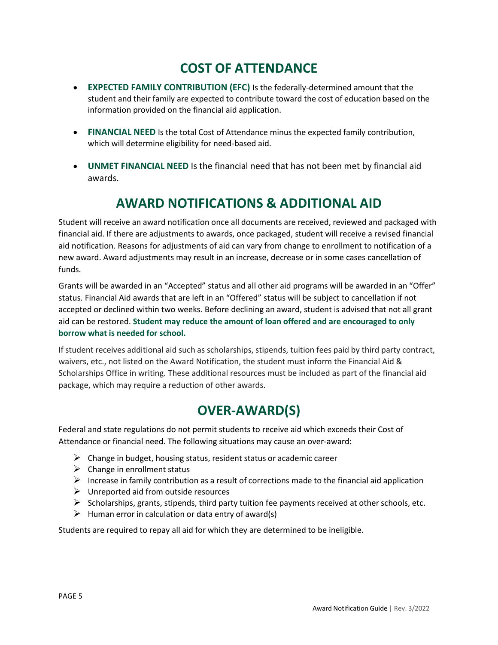# **COST OF ATTENDANCE**

- **EXPECTED FAMILY CONTRIBUTION (EFC)** Is the federally-determined amount that the student and their family are expected to contribute toward the cost of education based on the information provided on the financial aid application.
- **FINANCIAL NEED** Is the total Cost of Attendance minus the expected family contribution, which will determine eligibility for need-based aid.
- **UNMET FINANCIAL NEED** Is the financial need that has not been met by financial aid awards.

# **AWARD NOTIFICATIONS & ADDITIONAL AID**

Student will receive an award notification once all documents are received, reviewed and packaged with financial aid. If there are adjustments to awards, once packaged, student will receive a revised financial aid notification. Reasons for adjustments of aid can vary from change to enrollment to notification of a new award. Award adjustments may result in an increase, decrease or in some cases cancellation of funds.

Grants will be awarded in an "Accepted" status and all other aid programs will be awarded in an "Offer" status. Financial Aid awards that are left in an "Offered" status will be subject to cancellation if not accepted or declined within two weeks. Before declining an award, student is advised that not all grant aid can be restored. **Student may reduce the amount of loan offered and are encouraged to only borrow what is needed for school.**

If student receives additional aid such as scholarships, stipends, tuition fees paid by third party contract, waivers, etc., not listed on the Award Notification, the student must inform the Financial Aid & Scholarships Office in writing. These additional resources must be included as part of the financial aid package, which may require a reduction of other awards.

### **OVER-AWARD(S)**

Federal and state regulations do not permit students to receive aid which exceeds their Cost of Attendance or financial need. The following situations may cause an over-award:

- $\triangleright$  Change in budget, housing status, resident status or academic career
- $\triangleright$  Change in enrollment status
- $\triangleright$  Increase in family contribution as a result of corrections made to the financial aid application
- $\triangleright$  Unreported aid from outside resources
- $\triangleright$  Scholarships, grants, stipends, third party tuition fee payments received at other schools, etc.
- $\triangleright$  Human error in calculation or data entry of award(s)

Students are required to repay all aid for which they are determined to be ineligible.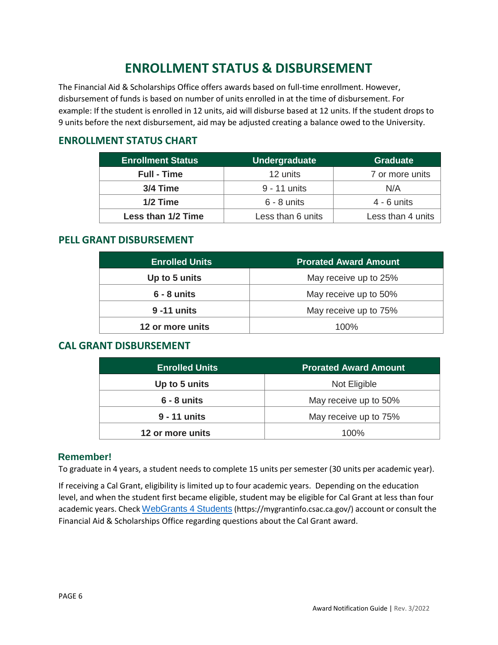# **ENROLLMENT STATUS & DISBURSEMENT**

The Financial Aid & Scholarships Office offers awards based on full-time enrollment. However, disbursement of funds is based on number of units enrolled in at the time of disbursement. For example: If the student is enrolled in 12 units, aid will disburse based at 12 units. If the student drops to 9 units before the next disbursement, aid may be adjusted creating a balance owed to the University.

#### **ENROLLMENT STATUS CHART**

| <b>Enrollment Status</b> | Undergraduate     | <b>Graduate</b>   |
|--------------------------|-------------------|-------------------|
| <b>Full - Time</b>       | 12 units          | 7 or more units   |
| 3/4 Time                 | 9 - 11 units      | N/A               |
| 1/2 Time                 | $6 - 8$ units     | $4 - 6$ units     |
| Less than 1/2 Time       | Less than 6 units | Less than 4 units |

#### **PELL GRANT DISBURSEMENT**

| <b>Enrolled Units</b> | <b>Prorated Award Amount</b> |  |
|-----------------------|------------------------------|--|
| Up to 5 units         | May receive up to 25%        |  |
| $6 - 8$ units         | May receive up to 50%        |  |
| 9 - 11 units          | May receive up to 75%        |  |
| 12 or more units      | $100\%$                      |  |

#### **CAL GRANT DISBURSEMENT**

| <b>Enrolled Units</b> | <b>Prorated Award Amount</b> |  |
|-----------------------|------------------------------|--|
| Up to 5 units         | Not Eligible                 |  |
| $6 - 8$ units         | May receive up to 50%        |  |
| 9 - 11 units          | May receive up to 75%        |  |
| 12 or more units      | $100\%$                      |  |

#### **Remember!**

To graduate in 4 years, a student needs to complete 15 units per semester (30 units per academic year).

If receiving a Cal Grant, eligibility is limited up to four academic years. Depending on the education level, and when the student first became eligible, student may be eligible for Cal Grant at less than four academic years. Check [WebGrants](https://mygrantinfo.csac.ca.gov/) 4 Students [\(https://mygrantinfo.csac.ca.gov/\)](https://mygrantinfo.csac.ca.gov/) account or consult the Financial Aid & Scholarships Office regarding questions about the Cal Grant award.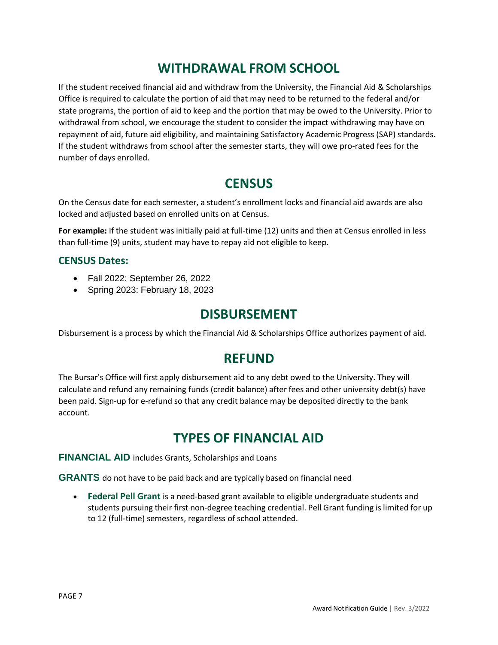### **WITHDRAWAL FROM SCHOOL**

If the student received financial aid and withdraw from the University, the Financial Aid & Scholarships Office is required to calculate the portion of aid that may need to be returned to the federal and/or state programs, the portion of aid to keep and the portion that may be owed to the University. Prior to withdrawal from school, we encourage the student to consider the impact withdrawing may have on repayment of aid, future aid eligibility, and maintaining Satisfactory Academic Progress (SAP) standards. If the student withdraws from school after the semester starts, they will owe pro-rated fees for the number of days enrolled.

### **CENSUS**

On the Census date for each semester, a student's enrollment locks and financial aid awards are also locked and adjusted based on enrolled units on at Census.

**For example:** If the student was initially paid at full-time (12) units and then at Census enrolled in less than full-time (9) units, student may have to repay aid not eligible to keep.

#### **CENSUS Dates:**

- Fall 2022: September 26, 2022
- Spring 2023: February 18, 2023

### **DISBURSEMENT**

Disbursement is a process by which the Financial Aid & Scholarships Office authorizes payment of aid.

### **REFUND**

The Bursar's Office will first apply disbursement aid to any debt owed to the University. They will calculate and refund any remaining funds (credit balance) after fees and other university debt(s) have been paid. Sign-up for e-refund so that any credit balance may be deposited directly to the bank account.

### **TYPES OF FINANCIAL AID**

**FINANCIAL AID** includes Grants, Scholarships and Loans

**GRANTS** do not have to be paid back and are typically based on financial need

• **Federal Pell Grant** is a need-based grant available to eligible undergraduate students and students pursuing their first non-degree teaching credential. Pell Grant funding is limited for up to 12 (full-time) semesters, regardless of school attended.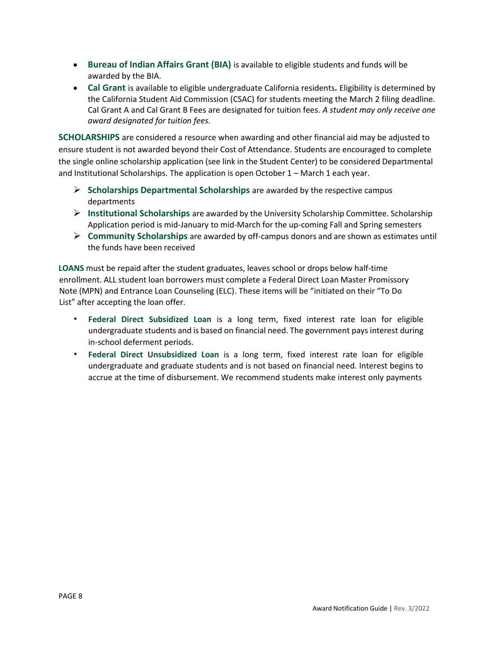- **Bureau of Indian Affairs Grant (BIA)** is available to eligible students and funds will be awarded by the BIA.
- **Cal Grant** is available to eligible undergraduate California residents**.** Eligibility is determined by the California Student Aid Commission (CSAC) for students meeting the March 2 filing deadline. Cal Grant A and Cal Grant B Fees are designated for tuition fees. *A student may only receive one award designated for tuition fees.*

**SCHOLARSHIPS** are considered a resource when awarding and other financial aid may be adjusted to ensure student is not awarded beyond their Cost of Attendance. Students are encouraged to complete the single online scholarship application (see link in the Student Center) to be considered Departmental and Institutional Scholarships. The application is open October 1 – March 1 each year.

- ➢ **Scholarships Departmental Scholarships** are awarded by the respective campus departments
- ➢ **Institutional Scholarships** are awarded by the University Scholarship Committee. Scholarship Application period is mid-January to mid-March for the up-coming Fall and Spring semesters
- ➢ **Community Scholarships** are awarded by off-campus donors and are shown as estimates until the funds have been received

**LOANS** must be repaid after the student graduates, leaves school or drops below half-time enrollment. ALL student loan borrowers must complete a Federal Direct Loan Master Promissory Note (MPN) and Entrance Loan Counseling (ELC). These items will be "initiated on their "To Do List" after accepting the loan offer.

- **Federal Direct Subsidized Loan** is a long term, fixed interest rate loan for eligible undergraduate students and is based on financial need. The government pays interest during in-school deferment periods.
- **Federal Direct Unsubsidized Loan** is a long term, fixed interest rate loan for eligible undergraduate and graduate students and is not based on financial need. Interest begins to accrue at the time of disbursement. We recommend students make interest only payments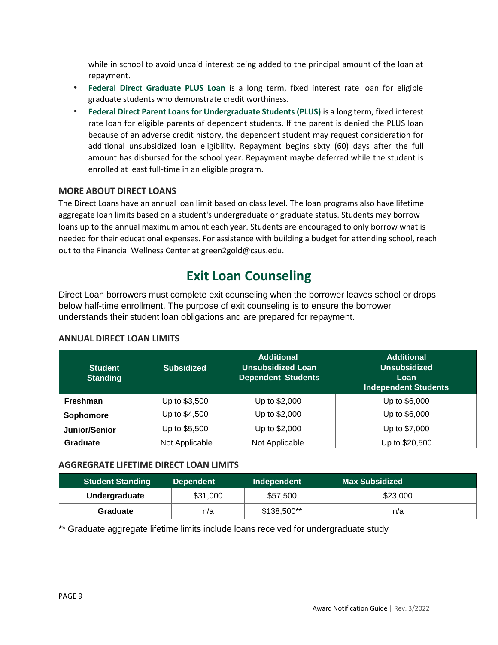while in school to avoid unpaid interest being added to the principal amount of the loan at repayment.

- **Federal Direct Graduate PLUS Loan** is a long term, fixed interest rate loan for eligible graduate students who demonstrate credit worthiness.
- **Federal Direct Parent Loans for Undergraduate Students (PLUS)** is a long term, fixed interest rate loan for eligible parents of dependent students. If the parent is denied the PLUS loan because of an adverse credit history, the dependent student may request consideration for additional unsubsidized loan eligibility. Repayment begins sixty (60) days after the full amount has disbursed for the school year. Repayment maybe deferred while the student is enrolled at least full-time in an eligible program.

#### **MORE ABOUT DIRECT LOANS**

The Direct Loans have an annual loan limit based on class level. The loan programs also have lifetime aggregate loan limits based on a student's undergraduate or graduate status. Students may borrow loans up to the annual maximum amount each year. Students are encouraged to only borrow what is needed for their educational expenses. For assistance with building a budget for attending school, reach out to the Financial Wellness Center a[t green2gold@csus.edu.](mailto:green2gold@csus.edu)

### **Exit Loan Counseling**

Direct Loan borrowers must complete exit counseling when the borrower leaves school or drops below half-time enrollment. The purpose of exit counseling is to ensure the borrower understands their student loan obligations and are prepared for repayment.

#### **ANNUAL DIRECT LOAN LIMITS**

| <b>Student</b><br><b>Standing</b> | <b>Subsidized</b> | <b>Additional</b><br><b>Unsubsidized Loan</b><br><b>Dependent Students</b> | <b>Additional</b><br><b>Unsubsidized</b><br>Loan<br><b>Independent Students</b> |
|-----------------------------------|-------------------|----------------------------------------------------------------------------|---------------------------------------------------------------------------------|
| <b>Freshman</b>                   | Up to \$3,500     | Up to \$2,000                                                              | Up to \$6,000                                                                   |
| Sophomore                         | Up to \$4,500     | Up to \$2,000                                                              | Up to \$6,000                                                                   |
| Junior/Senior                     | Up to \$5,500     | Up to \$2,000                                                              | Up to \$7,000                                                                   |
| Graduate                          | Not Applicable    | Not Applicable                                                             | Up to \$20,500                                                                  |

#### **AGGREGRATE LIFETIME DIRECT LOAN LIMITS**

| <b>Student Standing</b> | <b>Dependent</b> | Independent | Max Subsidized \ |
|-------------------------|------------------|-------------|------------------|
| <b>Undergraduate</b>    | \$31,000         | \$57,500    | \$23,000         |
| Graduate                | n/a              | \$138,500** | n/a              |

\*\* Graduate aggregate lifetime limits include loans received for undergraduate study